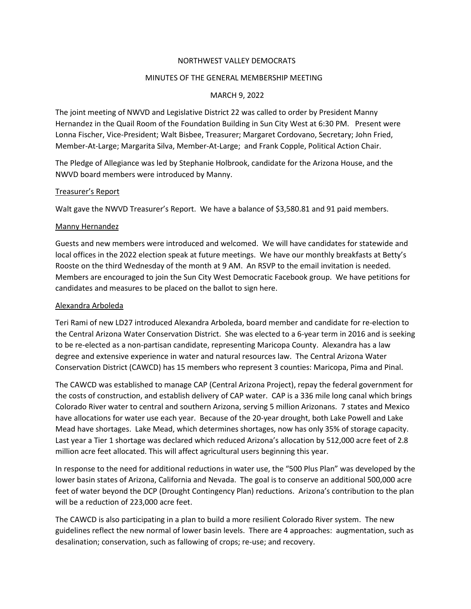### NORTHWEST VALLEY DEMOCRATS

### MINUTES OF THE GENERAL MEMBERSHIP MEETING

## MARCH 9, 2022

The joint meeting of NWVD and Legislative District 22 was called to order by President Manny Hernandez in the Quail Room of the Foundation Building in Sun City West at 6:30 PM. Present were Lonna Fischer, Vice-President; Walt Bisbee, Treasurer; Margaret Cordovano, Secretary; John Fried, Member-At-Large; Margarita Silva, Member-At-Large; and Frank Copple, Political Action Chair.

The Pledge of Allegiance was led by Stephanie Holbrook, candidate for the Arizona House, and the NWVD board members were introduced by Manny.

### Treasurer's Report

Walt gave the NWVD Treasurer's Report. We have a balance of \$3,580.81 and 91 paid members.

### Manny Hernandez

Guests and new members were introduced and welcomed. We will have candidates for statewide and local offices in the 2022 election speak at future meetings. We have our monthly breakfasts at Betty's Rooste on the third Wednesday of the month at 9 AM. An RSVP to the email invitation is needed. Members are encouraged to join the Sun City West Democratic Facebook group. We have petitions for candidates and measures to be placed on the ballot to sign here.

#### Alexandra Arboleda

Teri Rami of new LD27 introduced Alexandra Arboleda, board member and candidate for re-election to the Central Arizona Water Conservation District. She was elected to a 6-year term in 2016 and is seeking to be re-elected as a non-partisan candidate, representing Maricopa County. Alexandra has a law degree and extensive experience in water and natural resources law. The Central Arizona Water Conservation District (CAWCD) has 15 members who represent 3 counties: Maricopa, Pima and Pinal.

The CAWCD was established to manage CAP (Central Arizona Project), repay the federal government for the costs of construction, and establish delivery of CAP water. CAP is a 336 mile long canal which brings Colorado River water to central and southern Arizona, serving 5 million Arizonans. 7 states and Mexico have allocations for water use each year. Because of the 20-year drought, both Lake Powell and Lake Mead have shortages. Lake Mead, which determines shortages, now has only 35% of storage capacity. Last year a Tier 1 shortage was declared which reduced Arizona's allocation by 512,000 acre feet of 2.8 million acre feet allocated. This will affect agricultural users beginning this year.

In response to the need for additional reductions in water use, the "500 Plus Plan" was developed by the lower basin states of Arizona, California and Nevada. The goal is to conserve an additional 500,000 acre feet of water beyond the DCP (Drought Contingency Plan) reductions. Arizona's contribution to the plan will be a reduction of 223,000 acre feet.

The CAWCD is also participating in a plan to build a more resilient Colorado River system. The new guidelines reflect the new normal of lower basin levels. There are 4 approaches: augmentation, such as desalination; conservation, such as fallowing of crops; re-use; and recovery.